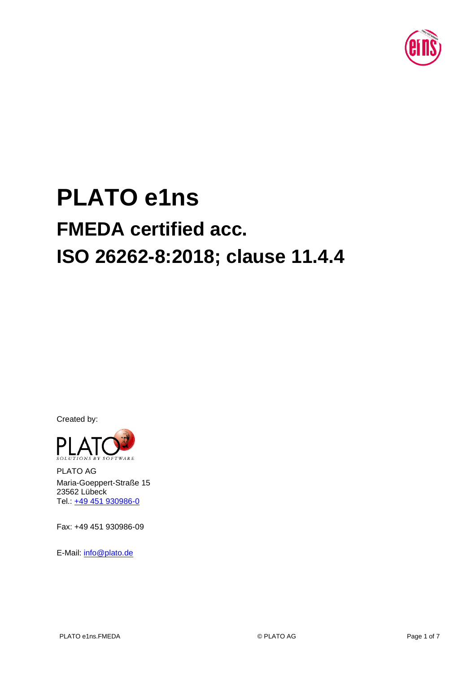

# **PLATO e1ns FMEDA certified acc. ISO 26262-8:2018; clause 11.4.4**

Created by:



PLATO AG Maria-Goeppert-Straße 15 23562 Lübeck Tel.: [+49 451 930986-0](tel:+494519309860)

Fax: +49 451 930986-09

E-Mail: [info@plato.de](mailto:info@plato.de)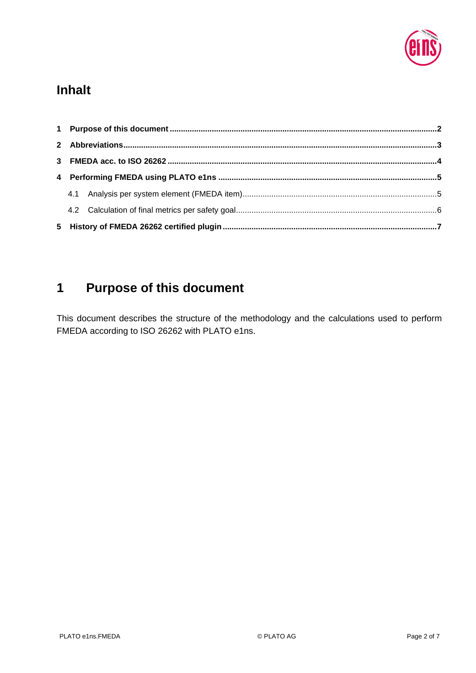

# **Inhalt**

# <span id="page-1-0"></span>**1 Purpose of this document**

This document describes the structure of the methodology and the calculations used to perform FMEDA according to ISO 26262 with PLATO e1ns.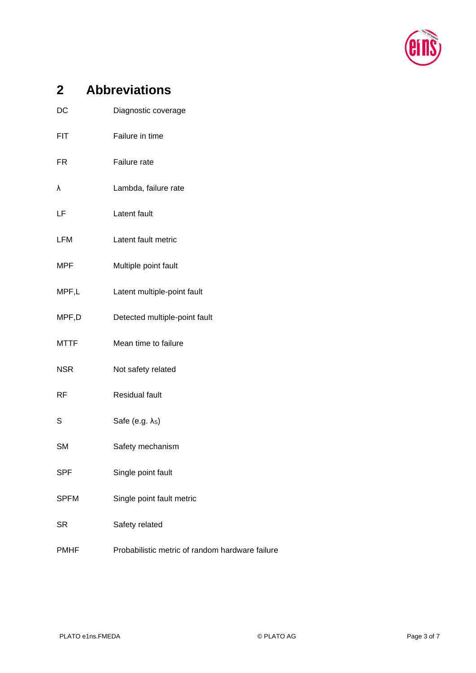

## <span id="page-2-0"></span>**2 Abbreviations**

- DC Diagnostic coverage
- FIT Failure in time
- FR Failure rate
- λ Lambda, failure rate
- LF Latent fault
- LFM Latent fault metric
- MPF Multiple point fault
- MPF,L Latent multiple-point fault
- MPF,D Detected multiple-point fault
- MTTF Mean time to failure
- NSR Not safety related
- RF Residual fault
- S Safe (e.g. λs)
- SM Safety mechanism
- SPF Single point fault
- SPFM Single point fault metric
- SR Safety related
- PMHF Probabilistic metric of random hardware failure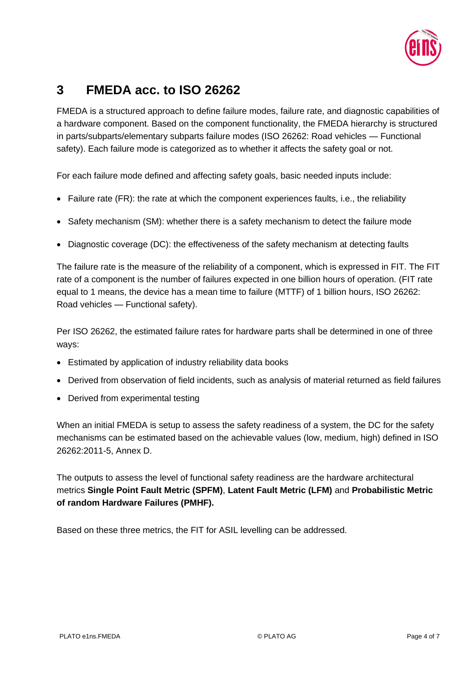

## <span id="page-3-0"></span>**3 FMEDA acc. to ISO 26262**

FMEDA is a structured approach to define failure modes, failure rate, and diagnostic capabilities of a hardware component. Based on the component functionality, the FMEDA hierarchy is structured in parts/subparts/elementary subparts failure modes (ISO 26262: Road vehicles — Functional safety). Each failure mode is categorized as to whether it affects the safety goal or not.

For each failure mode defined and affecting safety goals, basic needed inputs include:

- Failure rate (FR): the rate at which the component experiences faults, i.e., the reliability
- Safety mechanism (SM): whether there is a safety mechanism to detect the failure mode
- Diagnostic coverage (DC): the effectiveness of the safety mechanism at detecting faults

The failure rate is the measure of the reliability of a component, which is expressed in FIT. The FIT rate of a component is the number of failures expected in one billion hours of operation. (FIT rate equal to 1 means, the device has a mean time to failure (MTTF) of 1 billion hours, ISO 26262: Road vehicles — Functional safety).

Per ISO 26262, the estimated failure rates for hardware parts shall be determined in one of three ways:

- Estimated by application of industry reliability data books
- Derived from observation of field incidents, such as analysis of material returned as field failures
- Derived from experimental testing

When an initial FMEDA is setup to assess the safety readiness of a system, the DC for the safety mechanisms can be estimated based on the achievable values (low, medium, high) defined in ISO 26262:2011-5, Annex D.

The outputs to assess the level of functional safety readiness are the hardware architectural metrics **Single Point Fault Metric (SPFM)**, **Latent Fault Metric (LFM)** and **Probabilistic Metric of random Hardware Failures (PMHF).**

Based on these three metrics, the FIT for ASIL levelling can be addressed.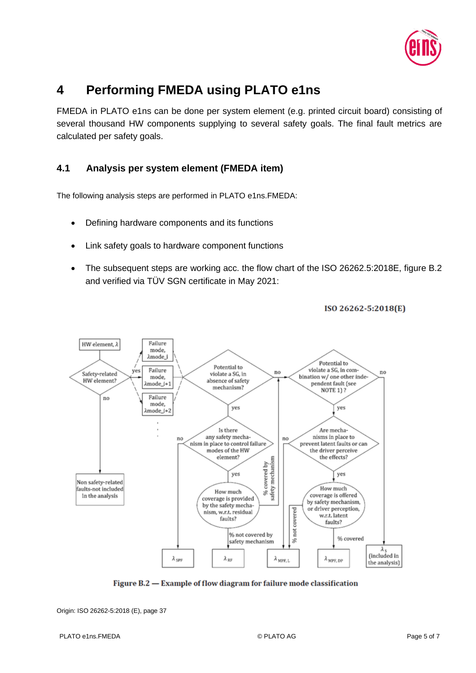

## <span id="page-4-0"></span>**4 Performing FMEDA using PLATO e1ns**

FMEDA in PLATO e1ns can be done per system element (e.g. printed circuit board) consisting of several thousand HW components supplying to several safety goals. The final fault metrics are calculated per safety goals.

## <span id="page-4-1"></span>**4.1 Analysis per system element (FMEDA item)**

The following analysis steps are performed in PLATO e1ns.FMEDA:

- Defining hardware components and its functions
- Link safety goals to hardware component functions
- The subsequent steps are working acc. the flow chart of the ISO 26262.5:2018E, figure B.2 and verified via TÜV SGN certificate in May 2021:



ISO 26262-5:2018(E)

Figure B.2 - Example of flow diagram for failure mode classification

Origin: ISO 26262-5:2018 (E), page 37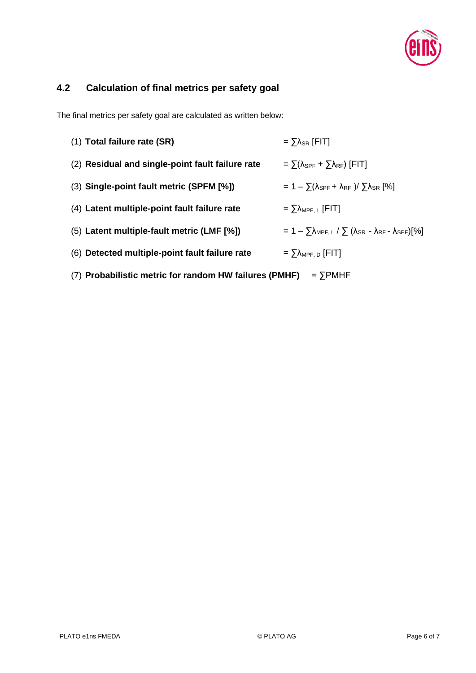

## <span id="page-5-0"></span>**4.2 Calculation of final metrics per safety goal**

The final metrics per safety goal are calculated as written below:

| $(1)$ Total failure rate (SR)                                          | $=$ $\sum_{\text{S} \text{R}}$ [FIT]                                                      |  |  |
|------------------------------------------------------------------------|-------------------------------------------------------------------------------------------|--|--|
| (2) Residual and single-point fault failure rate                       | $= \sum(\lambda_{\text{SPF}} + \sum \lambda_{\text{RF}})$ [FIT]                           |  |  |
| (3) Single-point fault metric (SPFM [%])                               | = 1 - $\sum(\lambda_{\text{SPF}} + \lambda_{\text{RF}})$ / $\sum \lambda_{\text{SR}}$ [%] |  |  |
| (4) Latent multiple-point fault failure rate                           | $=$ $\sum$ $\lambda$ <sub>MPF L</sub> [FIT]                                               |  |  |
| (5) Latent multiple-fault metric (LMF [%])                             | $= 1 - \sum \lambda_{MPF, L} / \sum (\lambda_{SR} - \lambda_{RF} - \lambda_{SPF})$ [%]    |  |  |
| (6) Detected multiple-point fault failure rate                         | $=$ $\sum$ $\lambda$ <sub>MPF, D</sub> [FIT]                                              |  |  |
| (7) Probabilistic metric for random HW failures (PMHF)<br>$=$ $5$ PMHF |                                                                                           |  |  |